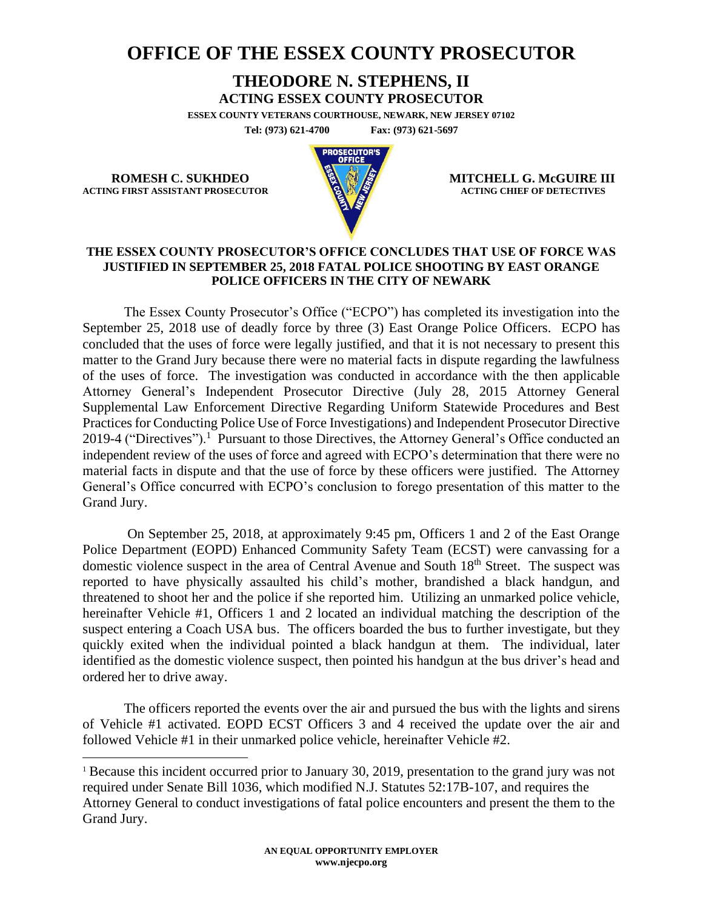## **OFFICE OF THE ESSEX COUNTY PROSECUTOR**

## **THEODORE N. STEPHENS, II**

**ACTING ESSEX COUNTY PROSECUTOR**

**ESSEX COUNTY VETERANS COURTHOUSE, NEWARK, NEW JERSEY 07102 Tel: (973) 621-4700 Fax: (973) 621-5697**

**ACTING FIRST ASSISTANT PROSECUTOR** 



**ROMESH C. SUKHDEO MITCHELL G. McGUIRE III**<br>
MITCHELL G. McGUIRE III

## **THE ESSEX COUNTY PROSECUTOR'S OFFICE CONCLUDES THAT USE OF FORCE WAS JUSTIFIED IN SEPTEMBER 25, 2018 FATAL POLICE SHOOTING BY EAST ORANGE POLICE OFFICERS IN THE CITY OF NEWARK**

The Essex County Prosecutor's Office ("ECPO") has completed its investigation into the September 25, 2018 use of deadly force by three (3) East Orange Police Officers. ECPO has concluded that the uses of force were legally justified, and that it is not necessary to present this matter to the Grand Jury because there were no material facts in dispute regarding the lawfulness of the uses of force. The investigation was conducted in accordance with the then applicable Attorney General's Independent Prosecutor Directive (July 28, 2015 Attorney General Supplemental Law Enforcement Directive Regarding Uniform Statewide Procedures and Best Practices for Conducting Police Use of Force Investigations) and Independent Prosecutor Directive 2019-4 ("Directives").<sup>1</sup> Pursuant to those Directives, the Attorney General's Office conducted an independent review of the uses of force and agreed with ECPO's determination that there were no material facts in dispute and that the use of force by these officers were justified. The Attorney General's Office concurred with ECPO's conclusion to forego presentation of this matter to the Grand Jury.

On September 25, 2018, at approximately 9:45 pm, Officers 1 and 2 of the East Orange Police Department (EOPD) Enhanced Community Safety Team (ECST) were canvassing for a domestic violence suspect in the area of Central Avenue and South 18<sup>th</sup> Street. The suspect was reported to have physically assaulted his child's mother, brandished a black handgun, and threatened to shoot her and the police if she reported him. Utilizing an unmarked police vehicle, hereinafter Vehicle #1, Officers 1 and 2 located an individual matching the description of the suspect entering a Coach USA bus. The officers boarded the bus to further investigate, but they quickly exited when the individual pointed a black handgun at them. The individual, later identified as the domestic violence suspect, then pointed his handgun at the bus driver's head and ordered her to drive away.

The officers reported the events over the air and pursued the bus with the lights and sirens of Vehicle #1 activated. EOPD ECST Officers 3 and 4 received the update over the air and followed Vehicle #1 in their unmarked police vehicle, hereinafter Vehicle #2.

<sup>&</sup>lt;sup>1</sup> Because this incident occurred prior to January 30, 2019, presentation to the grand jury was not required under Senate Bill 1036, which modified N.J. Statutes 52:17B-107, and requires the Attorney General to conduct investigations of fatal police encounters and present the them to the Grand Jury.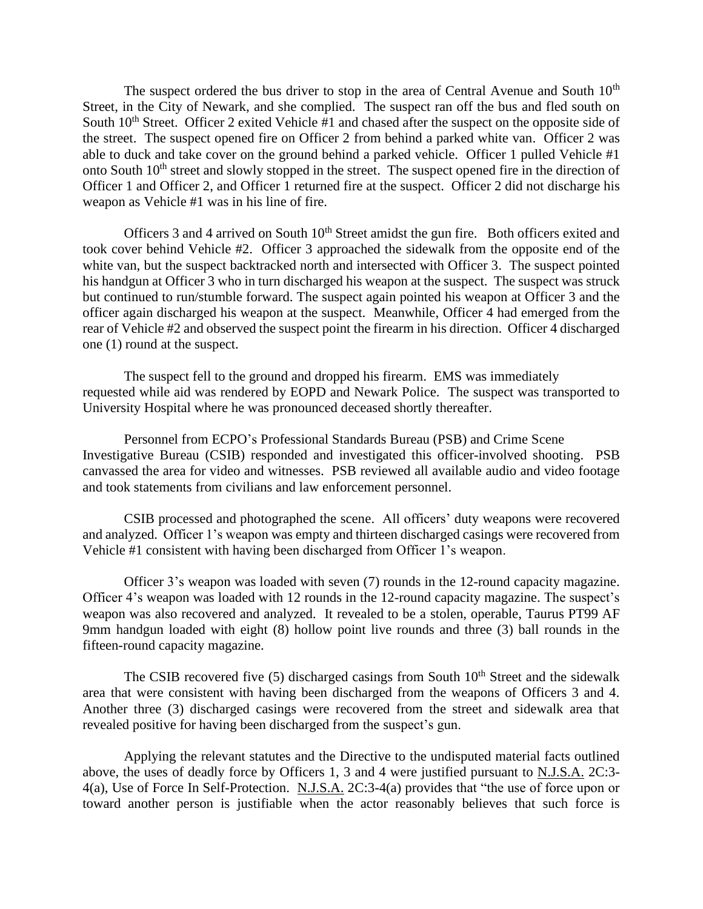The suspect ordered the bus driver to stop in the area of Central Avenue and South  $10<sup>th</sup>$ Street, in the City of Newark, and she complied. The suspect ran off the bus and fled south on South 10<sup>th</sup> Street. Officer 2 exited Vehicle #1 and chased after the suspect on the opposite side of the street. The suspect opened fire on Officer 2 from behind a parked white van. Officer 2 was able to duck and take cover on the ground behind a parked vehicle. Officer 1 pulled Vehicle #1 onto South 10th street and slowly stopped in the street. The suspect opened fire in the direction of Officer 1 and Officer 2, and Officer 1 returned fire at the suspect. Officer 2 did not discharge his weapon as Vehicle #1 was in his line of fire.

Officers 3 and 4 arrived on South  $10<sup>th</sup>$  Street amidst the gun fire. Both officers exited and took cover behind Vehicle #2. Officer 3 approached the sidewalk from the opposite end of the white van, but the suspect backtracked north and intersected with Officer 3. The suspect pointed his handgun at Officer 3 who in turn discharged his weapon at the suspect. The suspect was struck but continued to run/stumble forward. The suspect again pointed his weapon at Officer 3 and the officer again discharged his weapon at the suspect. Meanwhile, Officer 4 had emerged from the rear of Vehicle #2 and observed the suspect point the firearm in his direction. Officer 4 discharged one (1) round at the suspect.

The suspect fell to the ground and dropped his firearm. EMS was immediately requested while aid was rendered by EOPD and Newark Police. The suspect was transported to University Hospital where he was pronounced deceased shortly thereafter.

Personnel from ECPO's Professional Standards Bureau (PSB) and Crime Scene Investigative Bureau (CSIB) responded and investigated this officer-involved shooting. PSB canvassed the area for video and witnesses. PSB reviewed all available audio and video footage and took statements from civilians and law enforcement personnel.

CSIB processed and photographed the scene. All officers' duty weapons were recovered and analyzed. Officer 1's weapon was empty and thirteen discharged casings were recovered from Vehicle #1 consistent with having been discharged from Officer 1's weapon.

Officer 3's weapon was loaded with seven (7) rounds in the 12-round capacity magazine. Officer 4's weapon was loaded with 12 rounds in the 12-round capacity magazine. The suspect's weapon was also recovered and analyzed. It revealed to be a stolen, operable, Taurus PT99 AF 9mm handgun loaded with eight (8) hollow point live rounds and three (3) ball rounds in the fifteen-round capacity magazine.

The CSIB recovered five  $(5)$  discharged casings from South  $10<sup>th</sup>$  Street and the sidewalk area that were consistent with having been discharged from the weapons of Officers 3 and 4. Another three (3) discharged casings were recovered from the street and sidewalk area that revealed positive for having been discharged from the suspect's gun.

Applying the relevant statutes and the Directive to the undisputed material facts outlined above, the uses of deadly force by Officers 1, 3 and 4 were justified pursuant to N.J.S.A. 2C:3- 4(a), Use of Force In Self-Protection. N.J.S.A. 2C:3-4(a) provides that "the use of force upon or toward another person is justifiable when the actor reasonably believes that such force is